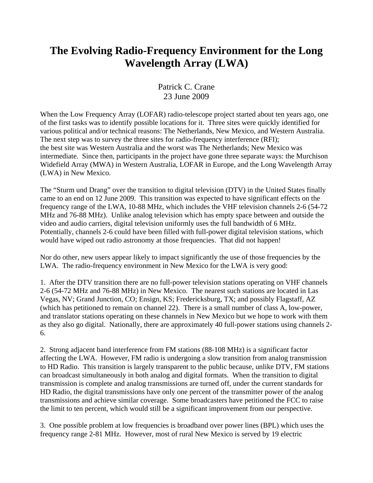## **The Evolving Radio-Frequency Environment for the Long Wavelength Array (LWA)**

## Patrick C. Crane 23 June 2009

When the Low Frequency Array (LOFAR) radio-telescope project started about ten years ago, one of the first tasks was to identify possible locations for it. Three sites were quickly identified for various political and/or technical reasons: The Netherlands, New Mexico, and Western Australia. The next step was to survey the three sites for radio-frequency interference (RFI); the best site was Western Australia and the worst was The Netherlands; New Mexico was intermediate. Since then, participants in the project have gone three separate ways: the Murchison Widefield Array (MWA) in Western Australia, LOFAR in Europe, and the Long Wavelength Array (LWA) in New Mexico.

The "Sturm und Drang" over the transition to digital television (DTV) in the United States finally came to an end on 12 June 2009. This transition was expected to have significant effects on the frequency range of the LWA, 10-88 MHz, which includes the VHF television channels 2-6 (54-72 MHz and 76-88 MHz). Unlike analog television which has empty space between and outside the video and audio carriers, digital television uniformly uses the full bandwidth of 6 MHz. Potentially, channels 2-6 could have been filled with full-power digital television stations, which would have wiped out radio astronomy at those frequencies. That did not happen!

Nor do other, new users appear likely to impact significantly the use of those frequencies by the LWA. The radio-frequency environment in New Mexico for the LWA is very good:

1. After the DTV transition there are no full-power television stations operating on VHF channels 2-6 (54-72 MHz and 76-88 MHz) in New Mexico. The nearest such stations are located in Las Vegas, NV; Grand Junction, CO; Ensign, KS; Fredericksburg, TX; and possibly Flagstaff, AZ (which has petitioned to remain on channel 22). There is a small number of class A, low-power, and translator stations operating on these channels in New Mexico but we hope to work with them as they also go digital. Nationally, there are approximately 40 full-power stations using channels 2- 6.

2. Strong adjacent band interference from FM stations (88-108 MHz) is a significant factor affecting the LWA. However, FM radio is undergoing a slow transition from analog transmission to HD Radio. This transition is largely transparent to the public because, unlike DTV, FM stations can broadcast simultaneously in both analog and digital formats. When the transition to digital transmission is complete and analog transmissions are turned off, under the current standards for HD Radio, the digital transmissions have only one percent of the transmitter power of the analog transmissions and achieve similar coverage. Some broadcasters have petitioned the FCC to raise the limit to ten percent, which would still be a significant improvement from our perspective.

3. One possible problem at low frequencies is broadband over power lines (BPL) which uses the frequency range 2-81 MHz. However, most of rural New Mexico is served by 19 electric